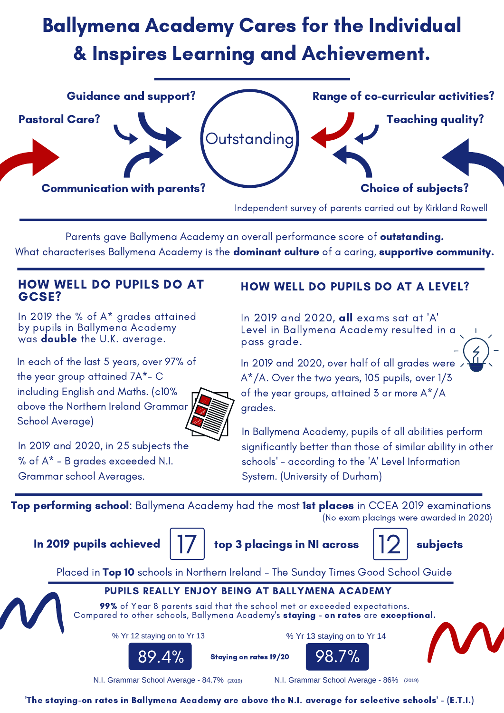Independent survey of parents carried out by Kirkland Rowell

99% of Year 8 parents said that the school met or exceeded expectations. Compared to other schools, Ballymena Academy 's staying - on rates are exceptional.

Parents gave Ballymena Academy an overall performance score of outstanding.

What characterises Ballymena Academy is the dominant culture of a caring, supportive community.

### PUPILS REALLY ENJOY BEING AT BALLYMENA ACADEMY

Staying on rates 19/20

% Yr 13 staying on to Yr 14

98.7%

% Yr 12 staying on to Yr 13

N.I. Grammar School Average - 84.7%

# Ballymena Academy Cares for the Individual & Inspires Learning and Achievement.

In 2019 the % of A\* grades attained by pupils in Ballymena Academy was double the U.K. average.

### HOW WELL DO PUPILS DO AT GCSE?

In each of the last 5 years, over 97% of the year group attained 7A\*- C including English and Maths. (c10% above the Northern Ireland Grammar School Average)

In 2019 and 2020, all exams sat at 'A' Level in Ballymena Academy resulted in a pass grade.

## HOW WELL DO PUPILS DO AT A LEVEL?

Top performing school: Ballymena Academy had the most 1st places in CCEA 2019 examinations (No exam placings were awarded in 2020)



In 2019 pupils achieved  $\vert \vert / \vert$  top 3 placings in NI across  $\vert \vert / \vert$  subjects



Placed in Top 10 schools in Northern Ireland - The Sunday Times Good School Guide

N.I. Grammar School Average - 86% (2019) (2019)



In 2019 and 2020, over half of all grades were A\*/A. Over the two years, 105 pupils, over 1/3



of the year groups, attained 3 or more A\*/A grades.

In 2019 and 2020, in 25 subjects the % of A\* - B grades exceeded N.I. Grammar school Averages.

In Ballymena Academy, pupils of all abilities perform significantly better than those of similar ability in other schools ' - according to the 'A' Level Information System. (University of Durham)



'The staying-on rates in Ballymena Academy are above the N.I. average for selective schools ' - (E.T.I.)